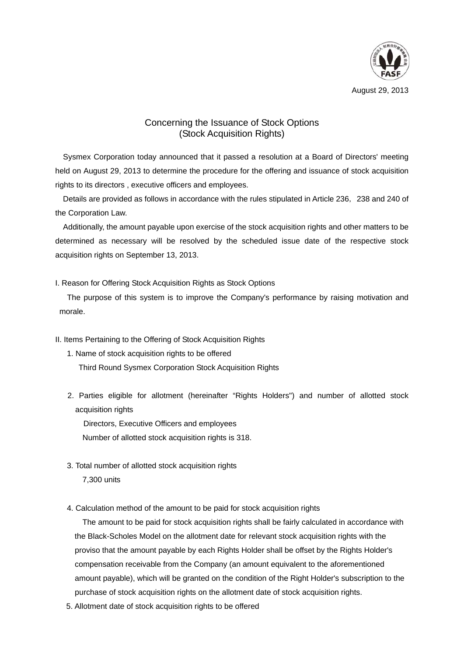

August 29, 2013

## Concerning the Issuance of Stock Options (Stock Acquisition Rights)

Sysmex Corporation today announced that it passed a resolution at a Board of Directors' meeting held on August 29, 2013 to determine the procedure for the offering and issuance of stock acquisition rights to its directors , executive officers and employees.

Details are provided as follows in accordance with the rules stipulated in Article 236, 238 and 240 of the Corporation Law.

Additionally, the amount payable upon exercise of the stock acquisition rights and other matters to be determined as necessary will be resolved by the scheduled issue date of the respective stock acquisition rights on September 13, 2013.

## I. Reason for Offering Stock Acquisition Rights as Stock Options

The purpose of this system is to improve the Company's performance by raising motivation and morale.

II. Items Pertaining to the Offering of Stock Acquisition Rights

- 1. Name of stock acquisition rights to be offered Third Round Sysmex Corporation Stock Acquisition Rights
- 2. Parties eligible for allotment (hereinafter "Rights Holders") and number of allotted stock acquisition rights

Directors, Executive Officers and employees Number of allotted stock acquisition rights is 318.

3. Total number of allotted stock acquisition rights

7,300 units

4. Calculation method of the amount to be paid for stock acquisition rights

The amount to be paid for stock acquisition rights shall be fairly calculated in accordance with the Black-Scholes Model on the allotment date for relevant stock acquisition rights with the proviso that the amount payable by each Rights Holder shall be offset by the Rights Holder's compensation receivable from the Company (an amount equivalent to the aforementioned amount payable), which will be granted on the condition of the Right Holder's subscription to the purchase of stock acquisition rights on the allotment date of stock acquisition rights.

5. Allotment date of stock acquisition rights to be offered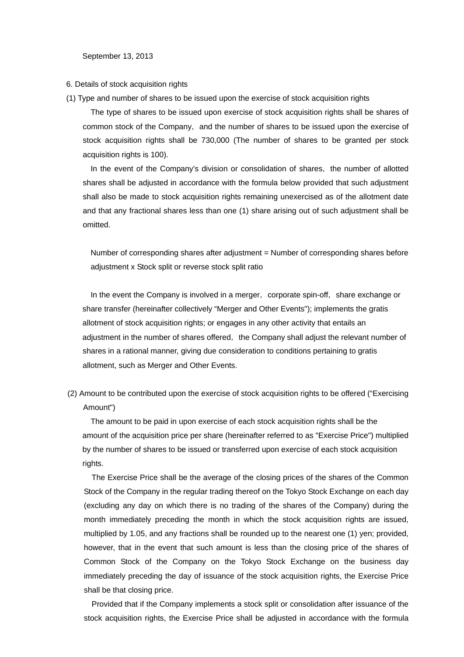September 13, 2013

6. Details of stock acquisition rights

(1) Type and number of shares to be issued upon the exercise of stock acquisition rights

The type of shares to be issued upon exercise of stock acquisition rights shall be shares of common stock of the Company, and the number of shares to be issued upon the exercise of stock acquisition rights shall be 730,000 (The number of shares to be granted per stock acquisition rights is 100).

In the event of the Company's division or consolidation of shares, the number of allotted shares shall be adjusted in accordance with the formula below provided that such adjustment shall also be made to stock acquisition rights remaining unexercised as of the allotment date and that any fractional shares less than one (1) share arising out of such adjustment shall be omitted.

Number of corresponding shares after adjustment = Number of corresponding shares before adjustment x Stock split or reverse stock split ratio

In the event the Company is involved in a merger, corporate spin-off, share exchange or share transfer (hereinafter collectively "Merger and Other Events"); implements the gratis allotment of stock acquisition rights; or engages in any other activity that entails an adjustment in the number of shares offered, the Company shall adjust the relevant number of shares in a rational manner, giving due consideration to conditions pertaining to gratis allotment, such as Merger and Other Events.

(2) Amount to be contributed upon the exercise of stock acquisition rights to be offered ("Exercising Amount")

The amount to be paid in upon exercise of each stock acquisition rights shall be the amount of the acquisition price per share (hereinafter referred to as "Exercise Price") multiplied by the number of shares to be issued or transferred upon exercise of each stock acquisition rights.

The Exercise Price shall be the average of the closing prices of the shares of the Common Stock of the Company in the regular trading thereof on the Tokyo Stock Exchange on each day (excluding any day on which there is no trading of the shares of the Company) during the month immediately preceding the month in which the stock acquisition rights are issued, multiplied by 1.05, and any fractions shall be rounded up to the nearest one (1) yen; provided, however, that in the event that such amount is less than the closing price of the shares of Common Stock of the Company on the Tokyo Stock Exchange on the business day immediately preceding the day of issuance of the stock acquisition rights, the Exercise Price shall be that closing price.

Provided that if the Company implements a stock split or consolidation after issuance of the stock acquisition rights, the Exercise Price shall be adjusted in accordance with the formula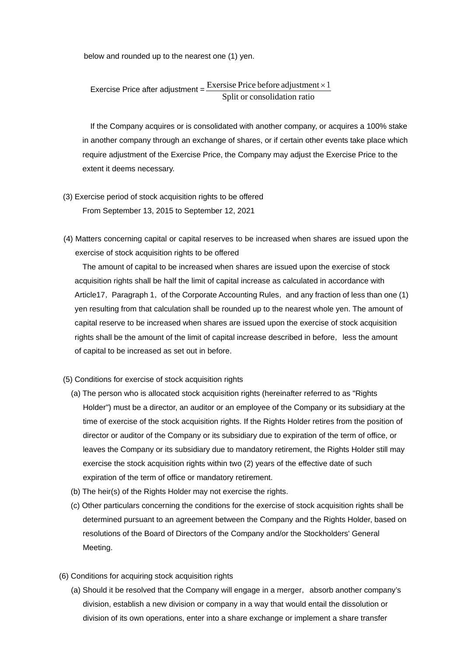below and rounded up to the nearest one (1) yen.

Exercise Price after adjustment = 
$$
\frac{Exercise \text{ Price before adjustment} \times 1}{Split \text{ or consolidation ratio}}
$$

If the Company acquires or is consolidated with another company, or acquires a 100% stake in another company through an exchange of shares, or if certain other events take place which require adjustment of the Exercise Price, the Company may adjust the Exercise Price to the extent it deems necessary.

- (3) Exercise period of stock acquisition rights to be offered From September 13, 2015 to September 12, 2021
- (4) Matters concerning capital or capital reserves to be increased when shares are issued upon the exercise of stock acquisition rights to be offered

The amount of capital to be increased when shares are issued upon the exercise of stock acquisition rights shall be half the limit of capital increase as calculated in accordance with Article17, Paragraph 1, of the Corporate Accounting Rules, and any fraction of less than one (1) yen resulting from that calculation shall be rounded up to the nearest whole yen. The amount of capital reserve to be increased when shares are issued upon the exercise of stock acquisition rights shall be the amount of the limit of capital increase described in before, less the amount of capital to be increased as set out in before.

- (5) Conditions for exercise of stock acquisition rights
	- (a) The person who is allocated stock acquisition rights (hereinafter referred to as "Rights Holder") must be a director, an auditor or an employee of the Company or its subsidiary at the time of exercise of the stock acquisition rights. If the Rights Holder retires from the position of director or auditor of the Company or its subsidiary due to expiration of the term of office, or leaves the Company or its subsidiary due to mandatory retirement, the Rights Holder still may exercise the stock acquisition rights within two (2) years of the effective date of such expiration of the term of office or mandatory retirement.
	- (b) The heir(s) of the Rights Holder may not exercise the rights.
	- (c) Other particulars concerning the conditions for the exercise of stock acquisition rights shall be determined pursuant to an agreement between the Company and the Rights Holder, based on resolutions of the Board of Directors of the Company and/or the Stockholders' General Meeting.
- (6) Conditions for acquiring stock acquisition rights
	- (a) Should it be resolved that the Company will engage in a merger, absorb another company's division, establish a new division or company in a way that would entail the dissolution or division of its own operations, enter into a share exchange or implement a share transfer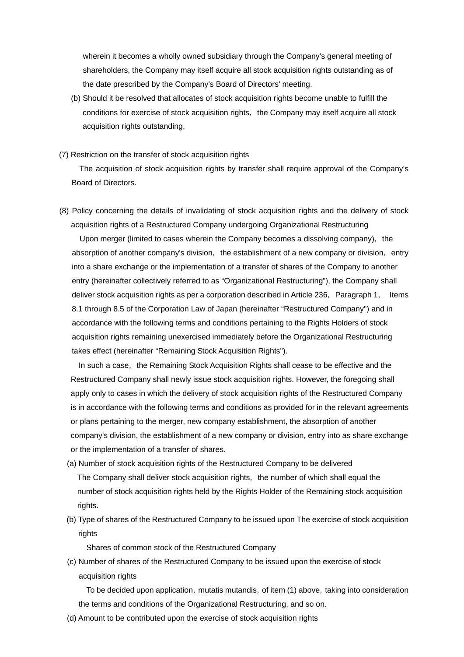wherein it becomes a wholly owned subsidiary through the Company's general meeting of shareholders, the Company may itself acquire all stock acquisition rights outstanding as of the date prescribed by the Company's Board of Directors' meeting.

(b) Should it be resolved that allocates of stock acquisition rights become unable to fulfill the conditions for exercise of stock acquisition rights, the Company may itself acquire all stock acquisition rights outstanding.

## (7) Restriction on the transfer of stock acquisition rights

The acquisition of stock acquisition rights by transfer shall require approval of the Company's Board of Directors.

(8) Policy concerning the details of invalidating of stock acquisition rights and the delivery of stock acquisition rights of a Restructured Company undergoing Organizational Restructuring

Upon merger (limited to cases wherein the Company becomes a dissolving company), the absorption of another company's division, the establishment of a new company or division, entry into a share exchange or the implementation of a transfer of shares of the Company to another entry (hereinafter collectively referred to as "Organizational Restructuring"), the Company shall deliver stock acquisition rights as per a corporation described in Article 236, Paragraph 1, Items 8.1 through 8.5 of the Corporation Law of Japan (hereinafter "Restructured Company") and in accordance with the following terms and conditions pertaining to the Rights Holders of stock acquisition rights remaining unexercised immediately before the Organizational Restructuring takes effect (hereinafter "Remaining Stock Acquisition Rights").

In such a case, the Remaining Stock Acquisition Rights shall cease to be effective and the Restructured Company shall newly issue stock acquisition rights. However, the foregoing shall apply only to cases in which the delivery of stock acquisition rights of the Restructured Company is in accordance with the following terms and conditions as provided for in the relevant agreements or plans pertaining to the merger, new company establishment, the absorption of another company's division, the establishment of a new company or division, entry into as share exchange or the implementation of a transfer of shares.

- (a) Number of stock acquisition rights of the Restructured Company to be delivered The Company shall deliver stock acquisition rights, the number of which shall equal the number of stock acquisition rights held by the Rights Holder of the Remaining stock acquisition rights.
- (b) Type of shares of the Restructured Company to be issued upon The exercise of stock acquisition rights

Shares of common stock of the Restructured Company

(c) Number of shares of the Restructured Company to be issued upon the exercise of stock acquisition rights

To be decided upon application, mutatis mutandis, of item (1) above, taking into consideration the terms and conditions of the Organizational Restructuring, and so on.

(d) Amount to be contributed upon the exercise of stock acquisition rights